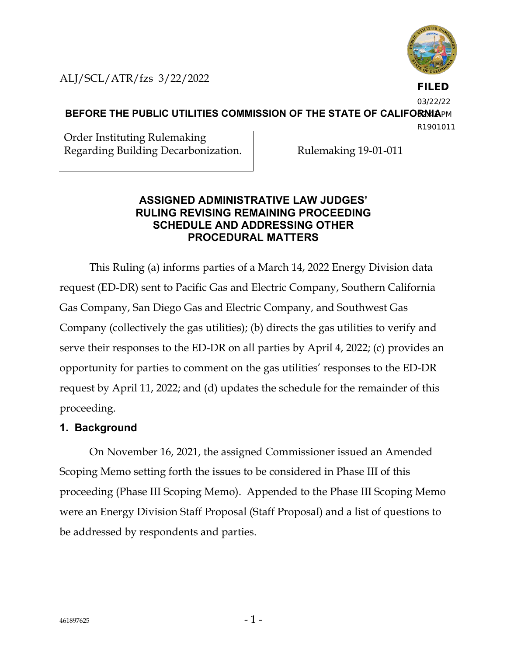

**FILED**

ALJ/SCL/ATR/fzs 3/22/2022

03/22/22

**BEFORE THE PUBLIC UTILITIES COMMISSION OF THE STATE OF CALIFORMAPM** 

R1901011

Order Instituting Rulemaking Regarding Building Decarbonization. Rulemaking 19-01-011

### **ASSIGNED ADMINISTRATIVE LAW JUDGES' RULING REVISING REMAINING PROCEEDING SCHEDULE AND ADDRESSING OTHER PROCEDURAL MATTERS**

This Ruling (a) informs parties of a March 14, 2022 Energy Division data request (ED-DR) sent to Pacific Gas and Electric Company, Southern California Gas Company, San Diego Gas and Electric Company, and Southwest Gas Company (collectively the gas utilities); (b) directs the gas utilities to verify and serve their responses to the ED-DR on all parties by April 4, 2022; (c) provides an opportunity for parties to comment on the gas utilities' responses to the ED-DR request by April 11, 2022; and (d) updates the schedule for the remainder of this proceeding.

# **1. Background**

On November 16, 2021, the assigned Commissioner issued an Amended Scoping Memo setting forth the issues to be considered in Phase III of this proceeding (Phase III Scoping Memo). Appended to the Phase III Scoping Memo were an Energy Division Staff Proposal (Staff Proposal) and a list of questions to be addressed by respondents and parties.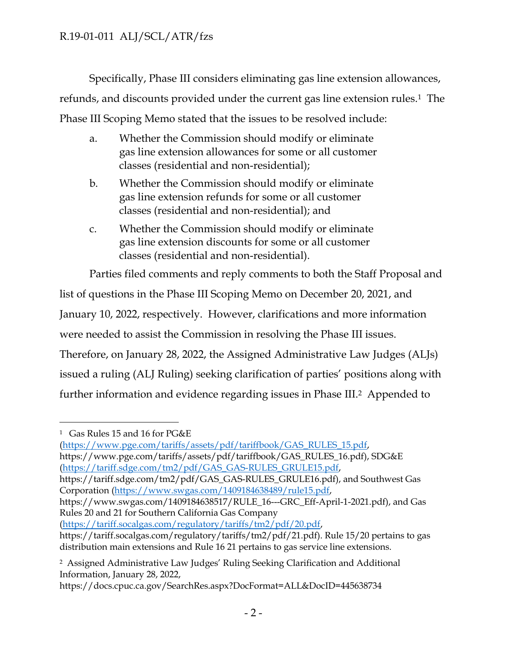Specifically, Phase III considers eliminating gas line extension allowances, refunds, and discounts provided under the current gas line extension rules. <sup>1</sup> The Phase III Scoping Memo stated that the issues to be resolved include:

- a. Whether the Commission should modify or eliminate gas line extension allowances for some or all customer classes (residential and non-residential);
- b. Whether the Commission should modify or eliminate gas line extension refunds for some or all customer classes (residential and non-residential); and
- c. Whether the Commission should modify or eliminate gas line extension discounts for some or all customer classes (residential and non-residential).

Parties filed comments and reply comments to both the Staff Proposal and list of questions in the Phase III Scoping Memo on December 20, 2021, and January 10, 2022, respectively. However, clarifications and more information were needed to assist the Commission in resolving the Phase III issues. Therefore, on January 28, 2022, the Assigned Administrative Law Judges (ALJs) issued a ruling (ALJ Ruling) seeking clarification of parties' positions along with further information and evidence regarding issues in Phase III. <sup>2</sup> Appended to

[\(https://www.pge.com/tariffs/assets/pdf/tariffbook/GAS\\_RULES\\_15.pdf,](https://www.pge.com/tariffs/assets/pdf/tariffbook/GAS_RULES_15.pdf) https://www.pge.com/tariffs/assets/pdf/tariffbook/GAS\_RULES\_16.pdf), SDG&E [\(https://tariff.sdge.com/tm2/pdf/GAS\\_GAS-RULES\\_GRULE15.pdf,](https://tariff.sdge.com/tm2/pdf/GAS_GAS-RULES_GRULE15.pdf)

https://tariff.sdge.com/tm2/pdf/GAS\_GAS-RULES\_GRULE16.pdf), and Southwest Gas Corporation [\(https://www.swgas.com/1409184638489/rule15.pdf,](https://www.swgas.com/1409184638489/rule15.pdf)

https://www.swgas.com/1409184638517/RULE\_16---GRC\_Eff-April-1-2021.pdf), and Gas Rules 20 and 21 for Southern California Gas Company

[\(https://tariff.socalgas.com/regulatory/tariffs/tm2/pdf/20.pdf,](https://tariff.socalgas.com/regulatory/tariffs/tm2/pdf/20.pdf)

https://docs.cpuc.ca.gov/SearchRes.aspx?DocFormat=ALL&DocID=445638734

<sup>1</sup> Gas Rules 15 and 16 for PG&E

https://tariff.socalgas.com/regulatory/tariffs/tm2/pdf/21.pdf). Rule 15/20 pertains to gas distribution main extensions and Rule 16 21 pertains to gas service line extensions.

<sup>2</sup> Assigned Administrative Law Judges' Ruling Seeking Clarification and Additional Information, January 28, 2022,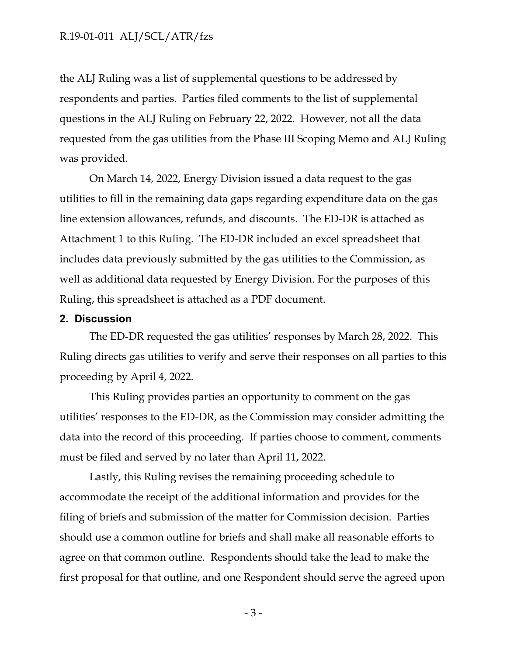### R.19-01-011 ALJ/SCL/ATR/fzs

the ALJ Ruling was a list of supplemental questions to be addressed by respondents and parties. Parties filed comments to the list of supplemental questions in the ALJ Ruling on February 22, 2022. However, not all the data requested from the gas utilities from the Phase III Scoping Memo and ALJ Ruling was provided.

On March 14, 2022, Energy Division issued a data request to the gas utilities to fill in the remaining data gaps regarding expenditure data on the gas line extension allowances, refunds, and discounts. The ED-DR is attached as Attachment 1 to this Ruling. The ED-DR included an excel spreadsheet that includes data previously submitted by the gas utilities to the Commission, as well as additional data requested by Energy Division. For the purposes of this Ruling, this spreadsheet is attached as a PDF document.

#### **2. Discussion**

The ED-DR requested the gas utilities' responses by March 28, 2022. This Ruling directs gas utilities to verify and serve their responses on all parties to this proceeding by April 4, 2022.

This Ruling provides parties an opportunity to comment on the gas utilities' responses to the ED-DR, as the Commission may consider admitting the data into the record of this proceeding. If parties choose to comment, comments must be filed and served by no later than April 11, 2022.

Lastly, this Ruling revises the remaining proceeding schedule to accommodate the receipt of the additional information and provides for the filing of briefs and submission of the matter for Commission decision. Parties should use a common outline for briefs and shall make all reasonable efforts to agree on that common outline. Respondents should take the lead to make the first proposal for that outline, and one Respondent should serve the agreed upon

- 3 -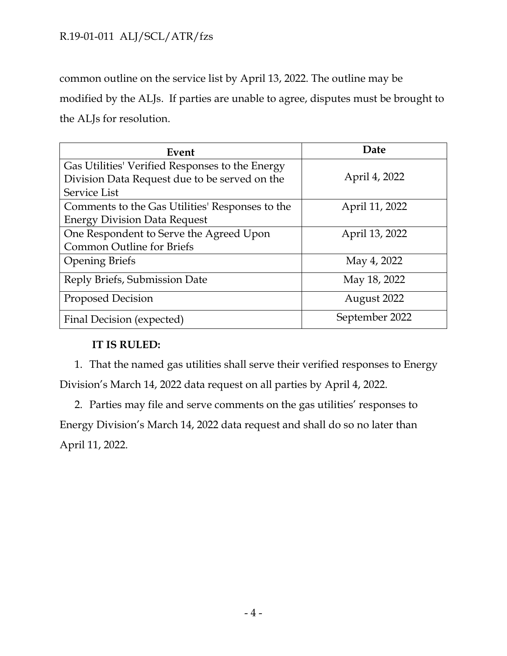# R.19-01-011 ALJ/SCL/ATR/fzs

common outline on the service list by April 13, 2022. The outline may be modified by the ALJs. If parties are unable to agree, disputes must be brought to the ALJs for resolution.

| Event                                           | Date           |
|-------------------------------------------------|----------------|
| Gas Utilities' Verified Responses to the Energy |                |
| Division Data Request due to be served on the   | April 4, 2022  |
| Service List                                    |                |
| Comments to the Gas Utilities' Responses to the | April 11, 2022 |
| <b>Energy Division Data Request</b>             |                |
| One Respondent to Serve the Agreed Upon         | April 13, 2022 |
| <b>Common Outline for Briefs</b>                |                |
| <b>Opening Briefs</b>                           | May 4, 2022    |
| Reply Briefs, Submission Date                   | May 18, 2022   |
| <b>Proposed Decision</b>                        | August 2022    |
| Final Decision (expected)                       | September 2022 |

## **IT IS RULED:**

1. That the named gas utilities shall serve their verified responses to Energy Division's March 14, 2022 data request on all parties by April 4, 2022.

2. Parties may file and serve comments on the gas utilities' responses to Energy Division's March 14, 2022 data request and shall do so no later than April 11, 2022.